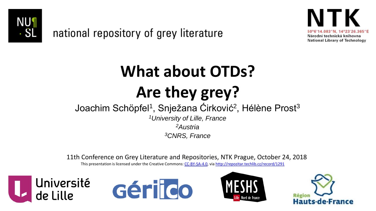

national repository of grey literature



# **What about OTDs? Are they grey?**

#### Joachim Schöpfel<sup>1</sup>, Snježana Ćirković<sup>2</sup>, Hélène Prost<sup>3</sup>

*<sup>1</sup>University of Lille, France <sup>2</sup>Austria <sup>3</sup>CNRS, France*

11th Conference on Grey Literature and Repositories, NTK Prague, October 24, 2018

This presentation is licensed under the Creative Commons: [CC-BY-SA-4.0,](https://creativecommons.org/licenses/by-sa/4.0/) via<http://repozitar.techlib.cz/record/1291>







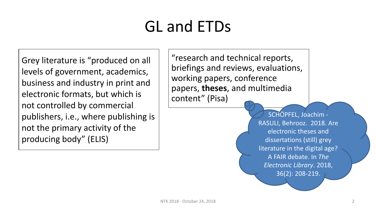## GL and ETDs

Grey literature is "produced on all levels of government, academics, business and industry in print and electronic formats, but which is not controlled by commercial publishers, i.e., where publishing is not the primary activity of the producing body" (ELIS)

"research and technical reports, briefings and reviews, evaluations, working papers, conference papers, **theses**, and multimedia content" (Pisa)

> SCHÖPFEL, Joachim - RASULI, Behrooz. 2018. Are electronic theses and dissertations (still) grey literature in the digital age? A FAIR debate. In *The Electronic Library*. 2018, 36(2): 208-219.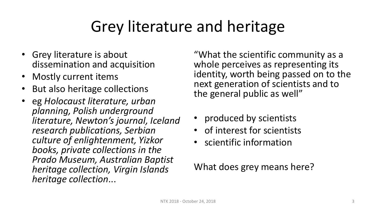### Grey literature and heritage

- Grey literature is about dissemination and acquisition
- Mostly current items
- But also heritage collections
- eg *Holocaust literature, urban planning, Polish underground literature, Newton's journal, Iceland research publications, Serbian culture of enlightenment, Yizkor books, private collections in the Prado Museum, Australian Baptist heritage collection, Virgin Islands heritage collection*...

"What the scientific community as a whole perceives as representing its identity, worth being passed on to the next generation of scientists and to the general public as well"

- produced by scientists
- of interest for scientists
- scientific information

#### What does grey means here?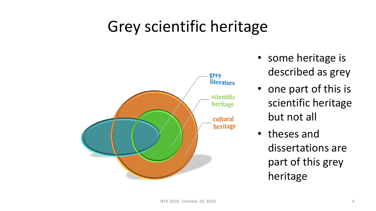#### Grey scientific heritage



- some heritage is described as grey
- one part of this is scientific heritage but not all
- theses and dissertations are part of this grey heritage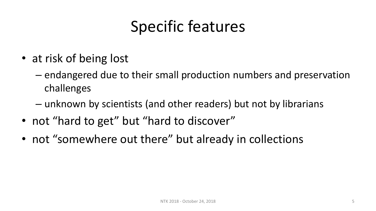### Specific features

- at risk of being lost
	- endangered due to their small production numbers and preservation challenges
	- unknown by scientists (and other readers) but not by librarians
- not "hard to get" but "hard to discover"
- not "somewhere out there" but already in collections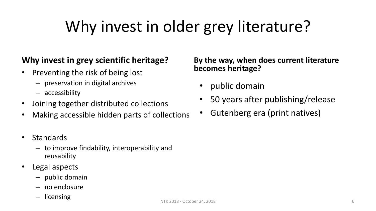### Why invest in older grey literature?

#### **Why invest in grey scientific heritage?**

- Preventing the risk of being lost
	- preservation in digital archives
	- accessibility
- Joining together distributed collections
- Making accessible hidden parts of collections
- Standards
	- to improve findability, interoperability and reusability
- Legal aspects
	- public domain
	- no enclosure
	- licensing

#### **By the way, when does current literature becomes heritage?**

- public domain
- 50 years after publishing/release
- Gutenberg era (print natives)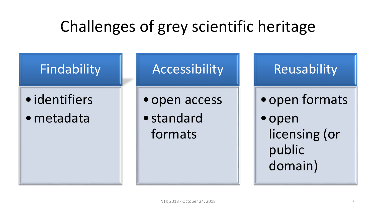### Challenges of grey scientific heritage

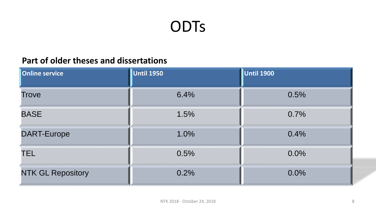#### **ODTs**

#### **Part of older theses and dissertations**

| <b>Online service</b>    | <b>Until 1950</b> | <b>Until 1900</b> |
|--------------------------|-------------------|-------------------|
| <b>Trove</b>             | 6.4%              | 0.5%              |
| <b>BASE</b>              | 1.5%              | 0.7%              |
| <b>DART-Europe</b>       | 1.0%              | 0.4%              |
| <b>TEL</b>               | 0.5%              | 0.0%              |
| <b>NTK GL Repository</b> | 0.2%              | 0.0%              |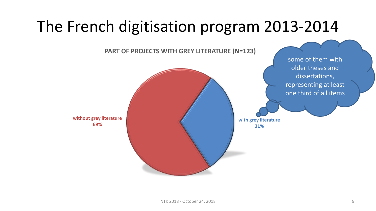#### The French digitisation program 2013-2014

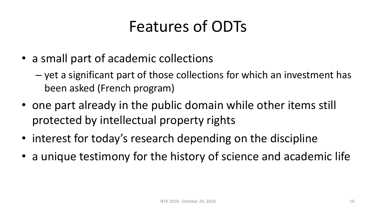#### Features of ODTs

- a small part of academic collections
	- yet a significant part of those collections for which an investment has been asked (French program)
- one part already in the public domain while other items still protected by intellectual property rights
- interest for today's research depending on the discipline
- a unique testimony for the history of science and academic life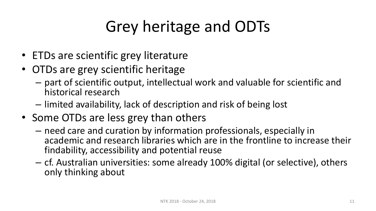## Grey heritage and ODTs

- ETDs are scientific grey literature
- OTDs are grey scientific heritage
	- part of scientific output, intellectual work and valuable for scientific and historical research
	- limited availability, lack of description and risk of being lost
- Some OTDs are less grey than others
	- need care and curation by information professionals, especially in academic and research libraries which are in the frontline to increase their findability, accessibility and potential reuse
	- cf. Australian universities: some already 100% digital (or selective), others only thinking about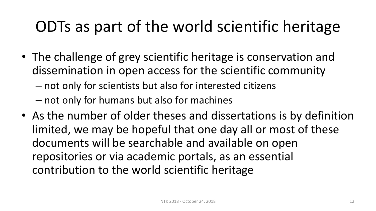### ODTs as part of the world scientific heritage

- The challenge of grey scientific heritage is conservation and dissemination in open access for the scientific community
	- not only for scientists but also for interested citizens
	- not only for humans but also for machines
- As the number of older theses and dissertations is by definition limited, we may be hopeful that one day all or most of these documents will be searchable and available on open repositories or via academic portals, as an essential contribution to the world scientific heritage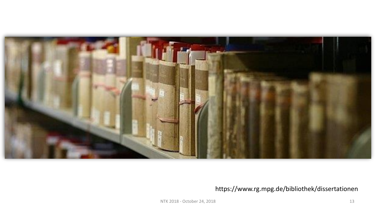

#### https://www.rg.mpg.de/bibliothek/dissertationen